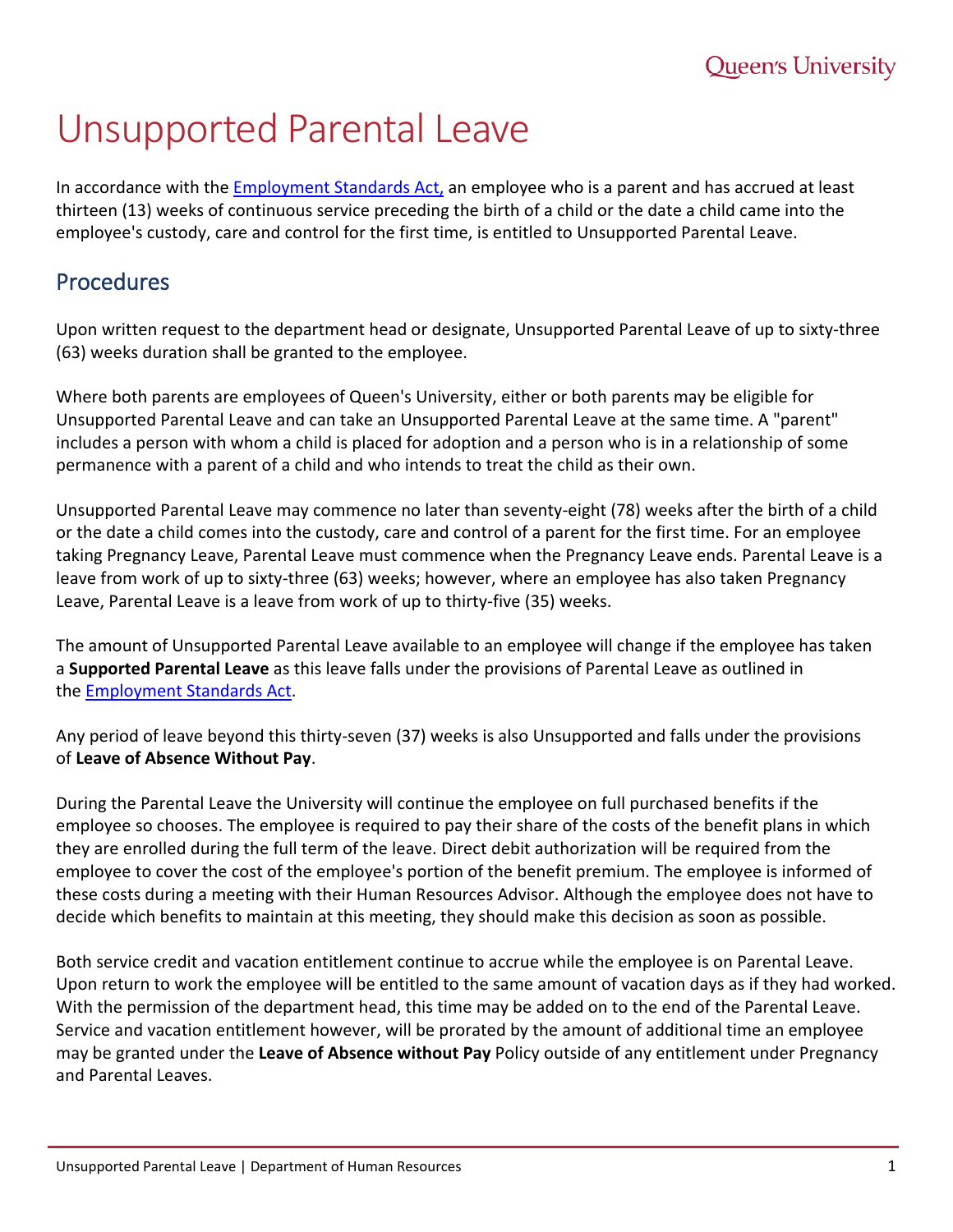# Unsupported Parental Leave

In accordance with the **Employment Standards Act**, an employee who is a parent and has accrued at least thirteen (13) weeks of continuous service preceding the birth of a child or the date a child came into the employee's custody, care and control for the first time, is entitled to Unsupported Parental Leave.

## Procedures

Upon written request to the department head or designate, Unsupported Parental Leave of up to sixty-three (63) weeks duration shall be granted to the employee.

Where both parents are employees of Queen's University, either or both parents may be eligible for Unsupported Parental Leave and can take an Unsupported Parental Leave at the same time. A "parent" includes a person with whom a child is placed for adoption and a person who is in a relationship of some permanence with a parent of a child and who intends to treat the child as their own.

Unsupported Parental Leave may commence no later than seventy-eight (78) weeks after the birth of a child or the date a child comes into the custody, care and control of a parent for the first time. For an employee taking Pregnancy Leave, Parental Leave must commence when the Pregnancy Leave ends. Parental Leave is a leave from work of up to sixty-three (63) weeks; however, where an employee has also taken Pregnancy Leave, Parental Leave is a leave from work of up to thirty-five (35) weeks.

The amount of Unsupported Parental Leave available to an employee will change if the employee has taken a **Supported Parental Leave** as this leave falls under the provisions of Parental Leave as outlined in the **[Employment Standards Act.](http://www.labour.gov.on.ca/english/es/)** 

Any period of leave beyond this thirty-seven (37) weeks is also Unsupported and falls under the provisions of **Leave of Absence Without Pay**.

During the Parental Leave the University will continue the employee on full purchased benefits if the employee so chooses. The employee is required to pay their share of the costs of the benefit plans in which they are enrolled during the full term of the leave. Direct debit authorization will be required from the employee to cover the cost of the employee's portion of the benefit premium. The employee is informed of these costs during a meeting with their Human Resources Advisor. Although the employee does not have to decide which benefits to maintain at this meeting, they should make this decision as soon as possible.

Both service credit and vacation entitlement continue to accrue while the employee is on Parental Leave. Upon return to work the employee will be entitled to the same amount of vacation days as if they had worked. With the permission of the department head, this time may be added on to the end of the Parental Leave. Service and vacation entitlement however, will be prorated by the amount of additional time an employee may be granted under the **Leave of Absence without Pay** Policy outside of any entitlement under Pregnancy and Parental Leaves.